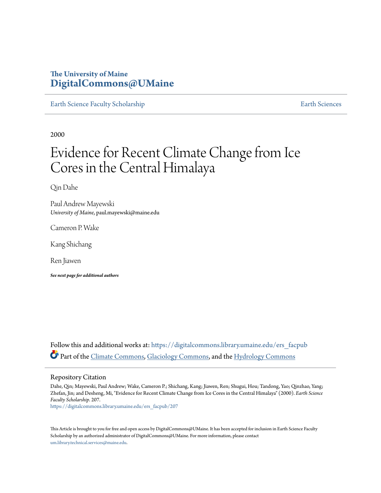### **The University of Maine [DigitalCommons@UMaine](https://digitalcommons.library.umaine.edu?utm_source=digitalcommons.library.umaine.edu%2Fers_facpub%2F207&utm_medium=PDF&utm_campaign=PDFCoverPages)**

[Earth Science Faculty Scholarship](https://digitalcommons.library.umaine.edu/ers_facpub?utm_source=digitalcommons.library.umaine.edu%2Fers_facpub%2F207&utm_medium=PDF&utm_campaign=PDFCoverPages) **[Earth Sciences](https://digitalcommons.library.umaine.edu/ers?utm_source=digitalcommons.library.umaine.edu%2Fers_facpub%2F207&utm_medium=PDF&utm_campaign=PDFCoverPages)** 

2000

# Evidence for Recent Climate Change from Ice Cores in the Central Himalaya

Qin Dahe

Paul Andrew Mayewski *University of Maine*, paul.mayewski@maine.edu

Cameron P. Wake

Kang Shichang

Ren Jiawen

*See next page for additional authors*

Follow this and additional works at: [https://digitalcommons.library.umaine.edu/ers\\_facpub](https://digitalcommons.library.umaine.edu/ers_facpub?utm_source=digitalcommons.library.umaine.edu%2Fers_facpub%2F207&utm_medium=PDF&utm_campaign=PDFCoverPages) Part of the [Climate Commons,](http://network.bepress.com/hgg/discipline/188?utm_source=digitalcommons.library.umaine.edu%2Fers_facpub%2F207&utm_medium=PDF&utm_campaign=PDFCoverPages) [Glaciology Commons](http://network.bepress.com/hgg/discipline/159?utm_source=digitalcommons.library.umaine.edu%2Fers_facpub%2F207&utm_medium=PDF&utm_campaign=PDFCoverPages), and the [Hydrology Commons](http://network.bepress.com/hgg/discipline/1054?utm_source=digitalcommons.library.umaine.edu%2Fers_facpub%2F207&utm_medium=PDF&utm_campaign=PDFCoverPages)

#### Repository Citation

Dahe, Qin; Mayewski, Paul Andrew; Wake, Cameron P.; Shichang, Kang; Jiawen, Ren; Shugui, Hou; Tandong, Yao; Qinzhao, Yang; Zhefan, Jin; and Desheng, Mi, "Evidence for Recent Climate Change from Ice Cores in the Central Himalaya" (2000). *Earth Science Faculty Scholarship*. 207.

[https://digitalcommons.library.umaine.edu/ers\\_facpub/207](https://digitalcommons.library.umaine.edu/ers_facpub/207?utm_source=digitalcommons.library.umaine.edu%2Fers_facpub%2F207&utm_medium=PDF&utm_campaign=PDFCoverPages)

This Article is brought to you for free and open access by DigitalCommons@UMaine. It has been accepted for inclusion in Earth Science Faculty Scholarship by an authorized administrator of DigitalCommons@UMaine. For more information, please contact [um.library.technical.services@maine.edu](mailto:um.library.technical.services@maine.edu).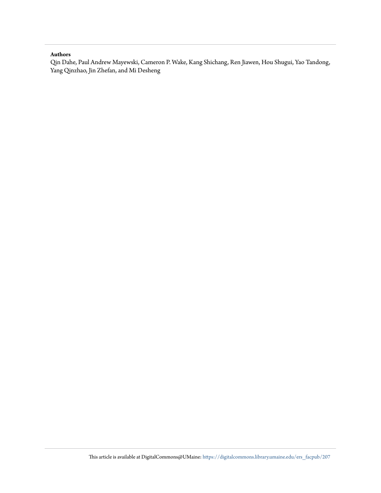#### **Authors**

Qin Dahe, Paul Andrew Mayewski, Cameron P. Wake, Kang Shichang, Ren Jiawen, Hou Shugui, Yao Tandong, Yang Qinzhao, Jin Zhefan, and Mi Desheng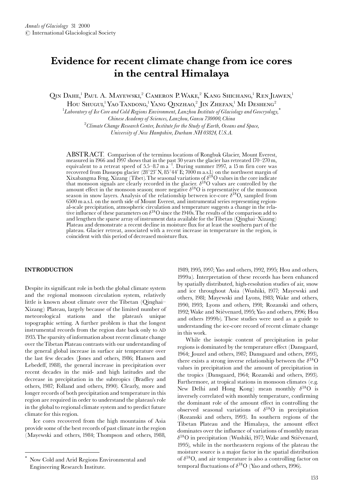## Evidence for recent climate change from ice cores in the central Himalaya

OIN DAHE,<sup>1</sup> PAUL A. MAYEWSKI,<sup>2</sup> CAMERON P. WAKE,<sup>2</sup> KANG SHICHANG,<sup>1</sup> REN JIAWEN,<sup>1</sup>

HOU SHUGUI,<sup>1</sup> YAO TANDONG,<sup>1</sup> YANG QINZHAO,<sup>2</sup> JIN ZHEFAN,<sup>1</sup> MI DESHENG<sup>2</sup>

 ${}^{1}$ Laboratory of Ice Core and Cold Regions Environment, Lanzhou Institute of Glaciology and Geocryology,<sup>\*</sup>

Chinese Academy of Sciences, Lanzhou, Gansu 730000, China

 ${}^{2}$ Climate Change Research Center, Institute for the Study of Earth, Oceans and Space,

University of New Hampshire, Durham NH 03824, U.S.A.

ABSTRACT. Comparison of the terminus locations of Rongbuk Glacier, Mount Everest, measured in 1966 and 1997 shows that in the past 30 years the glacier has retreated 170-270 m, measured in 1966 and 1997 shows that in the past 30 years the glacter has retreated 1/0–2/0 m,<br>equivalent to a retreat speed of 5.5–8.7 m a<sup>-1</sup>. During summer 1997, a 15 m firn core was<br>recovered from Dasuopu glacier (28° 6500 m a.s.l. on the north side of Mount Everest, and instrumental series representing regional-scale precipitation, atmospheric circulation and temperature suggests a change in the relative influence of these parameters on  $\delta^{18}O$  since the 1940s. The results of the comparison add to and lengthen the sparse array of instrument data available for the Tibetan (Qinghai-Xizang) Plateau and demonstrate a recent decline in moisture flux for at least the southern part of the plateau. Glacier retreat, associated with a recent increase in temperature in the region, is coincident with this period of decreased moisture flux.

#### **INTRODUCTION**

Despite its significant role in both the global climate system and the regional monsoon circulation system, relatively little is known about climate over the Tibetan (Oinghai-Xizang) Plateau, largely because of the limited number of meteorological stations and the plateau's unique topographic setting. A further problem is that the longest instrumental records from the region date back only to AD 1935. The sparsity of information about recent climate change over the Tibetan Plateau contrasts with our understanding of the general global increase in surface air temperature over the last few decades (Jones and others, 1986; Hansen and Lebedeff, 1988), the general increase in precipitation over recent decades in the mid- and high latitudes and the decrease in precipitation in the subtropics (Bradley and others, 1987; Folland and others, 1990). Clearly, more and longer records of both precipitation and temperature in this region are required in order to understand the plateau's role in the global to regional climate system and to predict future climate for this region.

Ice cores recovered from the high mountains of Asia provide some of the best records of past climate in the region (Mayewski and others, 1984; Thompson and others, 1988,

1989, 1995, 1997; Yao and others, 1992, 1995; Hou and others, 1999a). Interpretation of these records has been enhanced by spatially distributed, high-resolution studies of air, snow and ice throughout Asia (Wushiki, 1977; Mayewski and others, 1981; Mayewski and Lyons, 1983; Wake and others, 1990, 1993; Lyons and others, 1991; Rozanski and others, 1992; Wake and Stiévenard, 1995; Yao and others, 1996; Hou and others 1999b). These studies were used as a guide to understanding the ice-core record of recent climate change in this work.

While the isotopic content of precipitation in polar regions is dominated by the temperature effect (Dansgaard, 1964; Jouzel and others, 1987; Dansgaard and others, 1993), there exists a strong inverse relationship between the  $\delta^{18}$ O values in precipitation and the amount of precipitation in the tropics (Dansgaard, 1964; Rozanski and others, 1993). Furthermore, at tropical stations in monsoon climates (e.g. New Delhi and Hong Kong) mean monthly  $\delta^{18}O$  is inversely correlated with monthly temperature, confirming the dominant role of the amount effect in controlling the observed seasonal variations of  $\delta^{18}O$  in precipitation (Rozanski and others, 1993). In southern regions of the Tibetan Plateau and the Himalaya, the amount effect dominates over the influence of variations of monthly mean  $\delta^{18}$ O in precipitation (Wushiki, 1977; Wake and Stiévenard, 1995), while in the northeastern regions of the plateau the moisture source is a major factor in the spatial distribution of  $\delta^{18}$ O, and air temperature is also a controlling factor on temporal fluctuations of  $\delta^{18}O$  (Yao and others, 1996).

Now Cold and Arid Regions Environmental and Engineering Research Institute.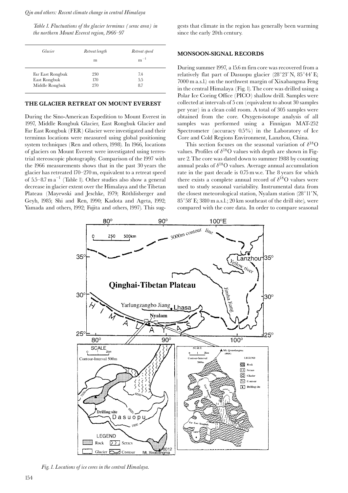Qin and others: Recent climate change in central Himalaya

Table 1. Fluctuations of the glacier terminus (serac area) in the northern Mount Everest region, 1966–97

| Glacier          | Retreat length | Retreat speed |  |
|------------------|----------------|---------------|--|
|                  | m              | $m^{-1}$      |  |
| Far East Rongbuk | 230            | 7.4           |  |
| East Rongbuk     | 170            | 5.5           |  |
| Middle Rongbuk   | 270            | 8.7           |  |

#### THE GLACIER RETREAT ON MOUNT EVEREST

During the Sino-American Expedition to Mount Everest in 1997, Middle Rongbuk Glacier, East Rongbuk Glacier and Far East Rongbuk (FER) Glacier were investigated and their terminus locations were measured using global positioning system techniques (Ren and others, 1998). In 1966, locations of glaciers on Mount Everest were investigated using terrestrial stereoscopic photography. Comparison of the 1997 with the 1966 measurements shows that in the past 30 years the glacier has retreated 170-270 m, equivalent to a retreat speed of  $5.5-8.7$  m  $a^{-1}$  (Table 1). Other studies also show a general decrease in glacier extent over the Himalaya and the Tibetan Plateau (Mayewski and Jeschke, 1979; Röthlisberger and Geyh, 1985; Shi and Ren, 1990; Kadota and Ageta, 1992; Yamada and others, 1992; Fujita and others, 1997). This suggests that climate in the region has generally been warming since the early 20th century.

#### **MONSOON-SIGNAL RECORDS**

During summer 1997, a 15.6 m firn core was recovered from a relatively flat part of Dasuopu glacier (28°23' N, 85°44' E; 7000 m a.s.l.) on the northwest margin of Xixabangma Feng in the central Himalaya (Fig. 1). The core was drilled using a Polar Ice Coring Office (PICO) shallow drill. Samples were collected at intervals of 5 cm (equivalent to about 30 samples per year) in a clean cold room. A total of 305 samples were obtained from the core. Oxygen-isotope analysis of all samples was performed using a Finnigan MAT-252 Spectrometer (accuracy 0.5%) in the Laboratory of Ice Core and Cold Regions Environment, Lanzhou, China.

This section focuses on the seasonal variation of  $\delta^{18}$ O values. Profiles of  $\delta^{18}$ O values with depth are shown in Figure 2. The core was dated down to summer 1988 by counting annual peaks of  $\delta^{18}O$  values. Average annual accumulation rate in the past decade is 0.75 m w.e. The 8 years for which there exists a complete annual record of  $\delta^{18}O$  values were used to study seasonal variability. Instrumental data from the closest meteorological station, Nyalam station (28°11'N, 85°58′ E; 3810 m a.s.l.; 20 km southeast of the drill site), were compared with the core data. In order to compare seasonal



Fig. 1. Locations of ice cores in the central Himalaya.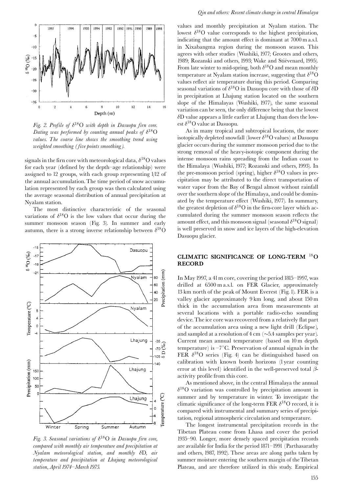

Fig. 2. Profile of  $\delta^{18}O$  with depth in Dasuopu firn core. Dating was performed by counting annual peaks of  $\delta^{18}O$ values. The coarse line shows the smoothing trend using weighted smoothing (five points smoothing).

signals in the firn core with meteorological data,  $\delta^{18}$ O values for each year (defined by the depth-age relationship) were assigned to 12 groups, with each group representing 1/12 of the annual accumulation. The time period of snow accumulation represented by each group was then calculated using the average seasonal distribution of annual precipitation at Nyalam station.

The most distinctive characteristic of the seasonal variations of  $\delta^{18}O$  is the low values that occur during the summer monsoon season (Fig. 3). In summer and early autumn, there is a strong inverse relationship between  $\delta^{18}$ O



Fig. 3. Seasonal variations of  $\delta^{18}O$  in Dasuopu firn core, compared with monthly air temperature and precipitation at Nyalam meteorological station, and monthly  $\delta D$ , air temperature and precipitation at Lhajung meteorological station, April 1974-March 1975.

values and monthly precipitation at Nyalam station. The lowest  $\delta^{18}$ O value corresponds to the highest precipitation, indicating that the amount effect is dominant at 7000 m a.s.l. in Xixabangma region during the monsoon season. This agrees with other studies (Wushiki, 1977; Grootes and others, 1989; Rozanski and others, 1993; Wake and Stiévenard, 1995). From late winter to mid-spring, both  $\delta^{18}$ O and mean monthly temperature at Nyalam station increase, suggesting that  $\delta^{18}$ O values reflect air temperature during this period. Comparing seasonal variations of  $\delta^{18}O$  in Dasuopu core with those of  $\delta\overline{D}$ in precipitation at Lhajung station located on the southern slope of the Himalayas (Wushiki, 1977), the same seasonal variation can be seen, the only difference being that the lowest  $\delta$ D value appears a little earlier at Lhajung than does the lowest  $\delta^{18}$ O value at Dasuopu.

As in many tropical and subtropical locations, the more isotopically depleted snowfall (lower  $\delta^{18}$ O values) at Dasuopu glacier occurs during the summer monsoon period due to the strong removal of the heavy-isotopic component during the intense monsoon rains spreading from the Indian coast to the Himalaya (Wushiki, 1977; Rozanski and others, 1993). In the pre-monsoon period (spring), higher  $\delta^{18}O$  values in precipitation may be attributed to the direct transportation of water vapor from the Bay of Bengal almost without rainfall over the southern slope of the Himalaya, and could be dominated by the temperature effect (Wushiki, 1977). In summary, the greatest depletion of  $\delta^{18}$ O in the firn-core layer which accumulated during the summer monsoon season reflects the amount effect, and this monsoon signal (seasonal  $\delta^{18}$ O signal) is well preserved in snow and ice layers of the high-elevation Dasuopu glacier.

#### CLIMATIC SIGNIFICANCE OF LONG-TERM <sup>18</sup>O **RECORD**

In May 1997, a 41 m core, covering the period 1815–1997, was drilled at 6500 m a.s.l. on FER Glacier, approximately 13 km north of the peak of Mount Everest (Fig. 1). FER is a valley glacier approximately 9 km long, and about 150 m thick in the accumulation area from measurements at several locations with a portable radio-echo sounding device. The ice core was recovered from a relatively flat part of the accumulation area using a new light drill (Eclipse), and sampled at a resolution of  $4 \text{ cm } (\sim 5.4 \text{ samples per year}).$ Current mean annual temperature (based on 10 m depth temperature) is  $-7^{\circ}$ C. Preservation of annual signals in the FER  $\delta^{18}O$  series (Fig. 4) can be distinguished based on calibration with known bomb horizons (1year counting error at this level) identified in the well-preserved total  $\beta$ activity profile from this core.

As mentioned above, in the central Himalaya the annual  $\delta^{18}$ O variation was controlled by precipitation amount in summer and by temperature in winter. To investigate the climatic significance of the long-term FER  $\delta^{18}$ O record, it is compared with instrumental and summary series of precipitation, regional atmospheric circulation and temperature.

The longest instrumental precipitation records in the Tibetan Plateau come from Lhasa and cover the period 1935–90. Longer, more densely spaced precipitation records are available for India for the period 1871-1991 (Parthasarathy and others, 1987, 1992). These areas are along paths taken by summer moisture entering the southern margin of the Tibetan Plateau, and are therefore utilized in this study. Empirical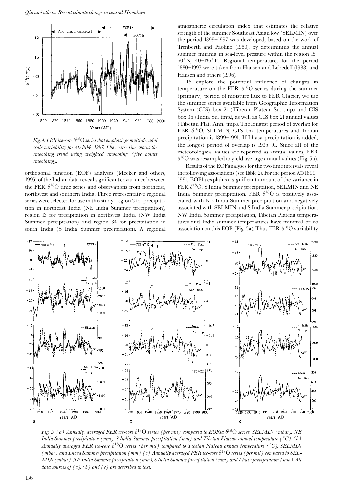

Fig. 4. FER ice-core  $\delta^{18}O$  series that emphasizes multi-decadal scale variability for AD 1814-1997. The coarse line shows the smoothing trend using weighted smoothing (five points smoothing).

orthogonal function (EOF) analyses (Meeker and others, 1995) of the Indian data reveal significant covariance between the FER  $\delta^{18}O$  time series and observations from northeast, northwest and southern India. Three representative regional series were selected for use in this study: region 3 for precipitation in northeast India (NE India Summer precipitation), region 13 for precipitation in northwest India (NW India Summer precipitation) and region 34 for precipitation in south India (S India Summer precipitation). A regional atmospheric circulation index that estimates the relative strength of the summer Southeast Asian low (SELMIN) over the period 1899-1997 was developed, based on the work of Trenberth and Paolino (1980), by determining the annual summer minima in sea-level pressure within the region 15- $60^{\circ}$  N,  $40-136^{\circ}$  E. Regional temperature, for the period 1880-1997 were taken from Hansen and Lebedeff (1988) and Hansen and others (1996).

To explore the potential influence of changes in temperature on the FER  $\delta^{18}$ O series during the summer (primary) period of moisture flux to FER Glacier, we use the summer series available from Geographic Information System (GIS) box 21 (Tibetan Plateau Su. tmp.) and GIS box 36 (India Su. tmp.), as well as GIS box 21 annual values (Tibetan Plat. Ann. tmp.). The longest period of overlap for FER  $\delta^{18}O$ , SELMIN, GIS box temperatures and Indian precipitation is 1899–1991. If Lhasa precipitation is added, the longest period of overlap is 1935-91. Since all of the meteorological values are reported as annual values, FER  $\delta^{18}$ O was resampled to yield average annual values (Fig. 5a).

Results of the EOF analyses for the two time intervals reveal the following associations (see Table 2). For the period AD 1899-1991, EOFla explains a significant amount of the variance in FER  $\delta^{18}O$ , S India Summer precipitation, SELMIN and NE India Summer precipitation. FER  $\delta^{18}$ O is positively associated with NE India Summer precipitation and negatively associated with SELMIN and S India Summer precipitation. NW India Summer precipitation, Tibetan Plateau temperatures and India summer temperatures have minimal or no association on this EOF (Fig. 5a). Thus FER  $\delta^{18}$ O variability



Fig. 5. (a) Annually averaged FER ice-core  $\delta^{18}O$  series (per mil) compared to EOF1a  $\delta^{18}O$  series, SELMIN (mbar), NE India Summer precipitation (mm), S India Summer precipitation (mm) and Tibetan Plateau annual temperature (°C). (b) Annually averaged FER ice-core  $\delta^{18}O$  series (per mil) compared to Tibetan Plateau annual temperature (°C), SELMIN (mbar) and Lhasa Summer precipitation (mm), (c) Annually averaged FER ice-core  $\delta^{18}O$  series (per mil) compared to SEL-MIN (mbar), NE India Summer precipitation (mm), S India Summer precipitation (mm) and Lhasa precipitation (mm). All data sources of  $(a)$ ,  $(b)$  and  $(c)$  are described in text.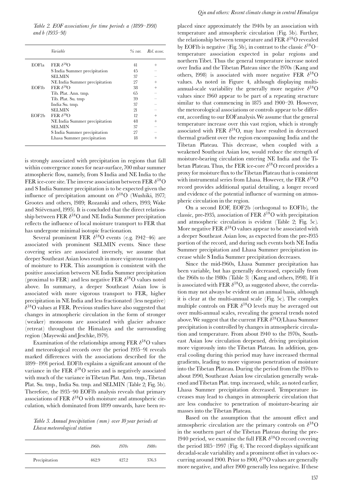Table 2. EOF associations for time periods a (1899–1991) and b (1935–91)

|                          | Variable                      | $\%$ var. | Rel. assoc. |
|--------------------------|-------------------------------|-----------|-------------|
| <b>EOF</b> <sub>la</sub> | FER $\delta^{18}$ O           | 41        | $^{+}$      |
|                          | S India Summer precipitation  | 45        |             |
|                          | <b>SELMIN</b>                 | 37        |             |
|                          | NE India Summer precipitation | 27        |             |
| <b>EOFI</b> b            | FER $\delta^{18}$ O           | 38        |             |
|                          | Tib. Plat. Ann. tmp.          | 65        |             |
|                          | Tib. Plat. Su. tmp            | 39        |             |
|                          | India Su. tmp.                | 37        |             |
|                          | SELMIN                        | 21        |             |
| EOF2b                    | FER $\delta^{18}$ O           | 19        | $\! +$      |
|                          | NE India Summer precipitation | 48        |             |
|                          | SELMIN                        | 37        |             |
|                          | S India Summer precipitation  | 27        |             |
|                          | Lhasa Summer precipitation    | 18        |             |

is strongly associated with precipitation in regions that fall within convergence zones for near-surface, 700 mbar summer atmospheric flow, namely, from S India and NE India to the FER ice-core site. The inverse association between FER  $\delta^{18}$ O and S India Summer precipitation is to be expected given the influence of precipitation amount on  $\delta^{18}$ O (Wushiki, 1977; Grootes and others, 1989; Rozanski and others, 1993; Wake and Stiévenard, 1995). It is concluded that the direct relationship between FER  $\delta^{18}$ O and NE India Summer precipitation reflects the influence of local moisture transport to FER that has undergone minimal isotopic fractionation.

Several prominent FER  $\delta^{18}$ O events (e.g. 1942–46) are associated with prominent SELMIN events. Since these covering series are associated inversely, we assume that deeper Southeast Asian lows result in more vigorous transport of moisture to FER. This assumption is consistent with the positive association between NE India Summer precipitation (proximal to FER) and less negative FER  $\delta^{18}$ O values noted above. In summary, a deeper Southeast Asian low is associated with more vigorous transport to FER, higher precipitation in NE India and less fractionated (less negative)  $\delta^{18}$ O values at FER. Previous studies have also suggested that changes in atmospheric circulation in the form of stronger (weaker) monsoons are associated with glacier advance (retreat) throughout the Himalaya and the surrounding region (Mayewski and Jeschke, 1979).

Examination of the relationships among FER  $\delta^{18}$ O values and meteorological records over the period 1935-91 reveals marked differences with the associations described for the 1899-1991 period. EOF1b explains a significant amount of the variance in the FER  $\delta^{18}$ O series and is negatively associated with much of the variance in Tibetan Plat. Ann. tmp., Tibetan Plat. Su. tmp., India Su. tmp. and SELMIN (Table 2; Fig. 5b). Therefore, the 1935-90 EOFIb analysis reveals that primary associations of FER  $\delta^{18}$ O with moisture and atmospheric circulation, which dominated from 1899 onwards, have been re-

Table 3. Annual precipitation (mm) over 10 year periods at Lhasa meteorological station

|               | 1960s | 1970s | 1980s |
|---------------|-------|-------|-------|
| Precipitation | 462.9 | 427.2 | 376.3 |

placed since approximately the 1940s by an association with temperature and atmospheric circulation (Fig. 5b). Further, the relationship between temperature and FER  $\delta^{18} \rm{O}$  revealed by EOFIb is negative (Fig. 5b), in contrast to the classic  $\delta^{18}O$ temperature association expected in polar regions and northern Tibet. Thus the general temperature increase noted over India and the Tibetan Plateau since the 1970s (Kang and others, 1998) is associated with more negative FER  $\delta^{18}$ O values. As noted in Figure 4, although displaying multiannual-scale variability the generally more negative  $\delta^{18}$ O values since 1960 appear to be part of a repeating structure similar to that commencing in 1875 and 1900-20. However, the meteorological associations or controls appear to be different, according to our EOF analysis. We assume that the general temperature increase over this vast region, which is strongly associated with FER  $\delta^{18}O$ , may have resulted in decreased thermal gradient over the region encompassing India and the Tibetan Plateau. This decrease, when coupled with a weakened Southeast Asian low, would reduce the strength of moisture-bearing circulation entering NE India and the Tibetan Plateau. Thus, the FER ice-core  $\delta^{18}$ O record provides a proxy for moisture flux to the Tibetan Plateau that is consistent with instrumental series from Lhasa. However, the FER  $\delta^{18}$ O record provides additional spatial detailing, a longer record and evidence of the potential influence of warming on atmospheric circulation in the region.

On a second EOF, EOF2b (orthogonal to EOF1b), the classic, pre-1935, association of FER  $\delta^{18}$ O with precipitation and atmospheric circulation is evident (Table 2; Fig. 5c). More negative FER  $\delta^{18}O$  values appear to be associated with a deeper Southeast Asian low, as expected from the pre-1935 portion of the record, and during such events both NE India Summer precipitation and Lhasa Summer precipitation increase while S India Summer precipitation decreases.

Since the mid-1960s, Lhasa Summer precipitation has been variable, but has generally decreased, especially from the 1960s to the 1980s (Table 3) (Kang and others, 1998). If it is associated with FER  $\delta^{18}O$ , as suggested above, the correlation may not always be evident on an annual basis, although it is clear at the multi-annual scale (Fig. 5c). The complex multiple controls on FER  $\delta^{18}$ O levels may be averaged out over multi-annual scales, revealing the general trends noted above. We suggest that the current FER  $\delta^{18}O/L$  has a Summer precipitation is controlled by changes in atmospheric circulation and temperature. From about 1940 to the 1970s, Southeast Asian low circulation deepened, driving precipitation more vigorously into the Tibetan Plateau. In addition, general cooling during this period may have increased thermal gradients, leading to more vigorous penetration of moisture into the Tibetan Plateau. During the period from the 1970s to about 1990, Southeast Asian low circulation generally weakened and Tibetan Plat. tmp. increased, while, as noted earlier, Lhasa Summer precipitation decreased. Temperature increases may lead to changes in atmospheric circulation that are less conducive to penetration of moisture-bearing air masses into the Tibetan Plateau.

Based on the assumption that the amount effect and atmospheric circulation are the primary controls on  $\delta^{18}$ O in the southern part of the Tibetan Plateau during the pre-1940 period, we examine the full FER  $\delta^{18}O$  record covering the period 1815–1997 (Fig. 4). The record displays significant decadal-scale variability and a prominent offset in values occurring around 1900. Prior to 1900,  $\delta^{18}$ O values are generally more negative, and after 1900 generally less negative. If these